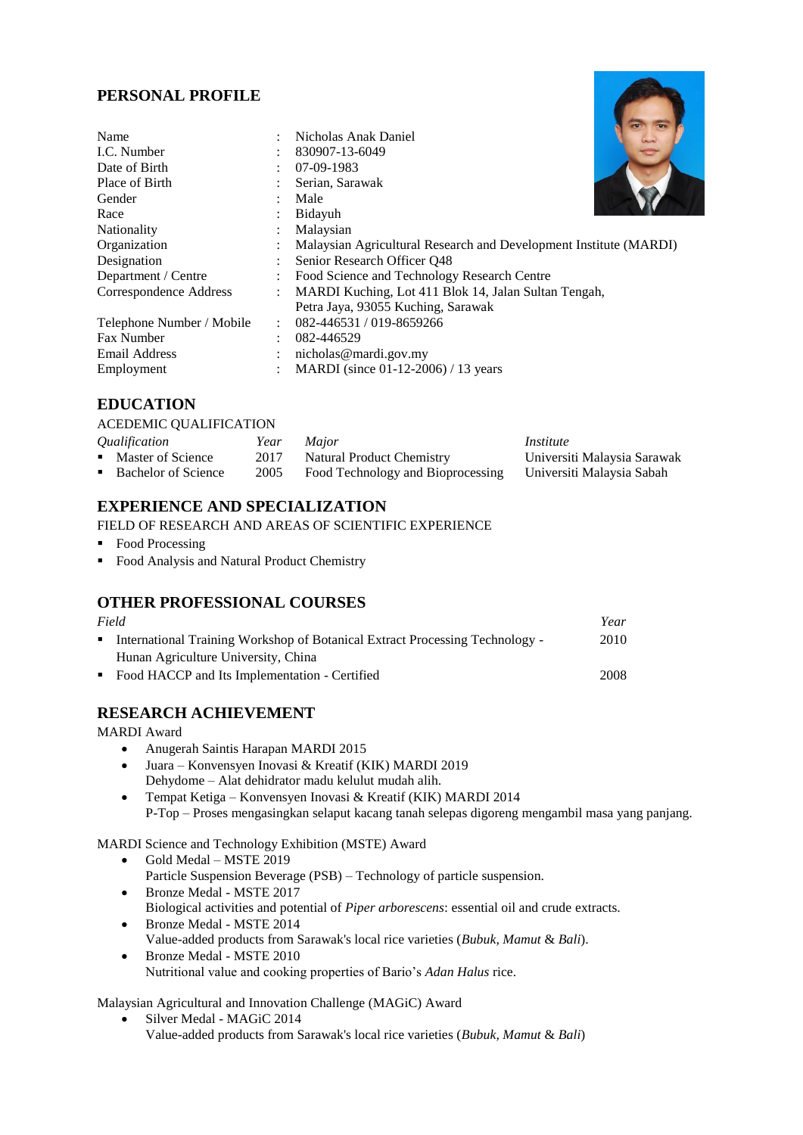# **PERSONAL PROFILE**

| $\bullet$            | Nicholas Anak Daniel                                              |
|----------------------|-------------------------------------------------------------------|
| $\bullet$            | 830907-13-6049                                                    |
|                      | 07-09-1983                                                        |
|                      | Serian, Sarawak                                                   |
| ٠                    | Male                                                              |
|                      | Bidayuh                                                           |
|                      | Malaysian                                                         |
| $\bullet$            | Malaysian Agricultural Research and Development Institute (MARDI) |
| $\ddot{\phantom{a}}$ | Senior Research Officer Q48                                       |
| $\ddot{\phantom{a}}$ | Food Science and Technology Research Centre                       |
| $\ddot{\cdot}$       | MARDI Kuching, Lot 411 Blok 14, Jalan Sultan Tengah,              |
|                      | Petra Jaya, 93055 Kuching, Sarawak                                |
| $\ddot{\cdot}$       | 082-446531/019-8659266                                            |
| $\ddot{\cdot}$       | 082-446529                                                        |
|                      | nicholas@mardi.gov.my                                             |
|                      | MARDI (since 01-12-2006) / 13 years                               |
|                      |                                                                   |

## **EDUCATION**

#### ACEDEMIC QUALIFICATION

| Qualification         | Year | <i>Major</i>                      | Institute                   |
|-----------------------|------|-----------------------------------|-----------------------------|
| • Master of Science   | 2017 | Natural Product Chemistry         | Universiti Malaysia Sarawak |
| • Bachelor of Science | 2005 | Food Technology and Bioprocessing | Universiti Malavsia Sabah   |

## **EXPERIENCE AND SPECIALIZATION**

FIELD OF RESEARCH AND AREAS OF SCIENTIFIC EXPERIENCE

- Food Processing
- Food Analysis and Natural Product Chemistry

## **OTHER PROFESSIONAL COURSES**

| Field        |                                                                                |      |
|--------------|--------------------------------------------------------------------------------|------|
|              | • International Training Workshop of Botanical Extract Processing Technology - | 2010 |
|              | Hunan Agriculture University, China                                            |      |
| $\mathbf{r}$ | Food HACCP and Its Implementation - Certified                                  | 2008 |

## **RESEARCH ACHIEVEMENT**

MARDI Award

- Anugerah Saintis Harapan MARDI 2015
- Juara Konvensyen Inovasi & Kreatif (KIK) MARDI 2019 Dehydome – Alat dehidrator madu kelulut mudah alih.
- Tempat Ketiga Konvensyen Inovasi & Kreatif (KIK) MARDI 2014 P-Top – Proses mengasingkan selaput kacang tanah selepas digoreng mengambil masa yang panjang.

MARDI Science and Technology Exhibition (MSTE) Award

- Gold Medal MSTE 2019 Particle Suspension Beverage (PSB) – Technology of particle suspension.
- Bronze Medal MSTE 2017 Biological activities and potential of *Piper arborescens*: essential oil and crude extracts. Bronze Medal - MSTE 2014
- Value-added products from Sarawak's local rice varieties (*Bubuk, Mamut* & *Bali*). Bronze Medal - MSTE 2010

Nutritional value and cooking properties of Bario's *Adan Halus* rice.

Malaysian Agricultural and Innovation Challenge (MAGiC) Award

 Silver Medal - MAGiC 2014 Value-added products from Sarawak's local rice varieties (*Bubuk, Mamut* & *Bali*)

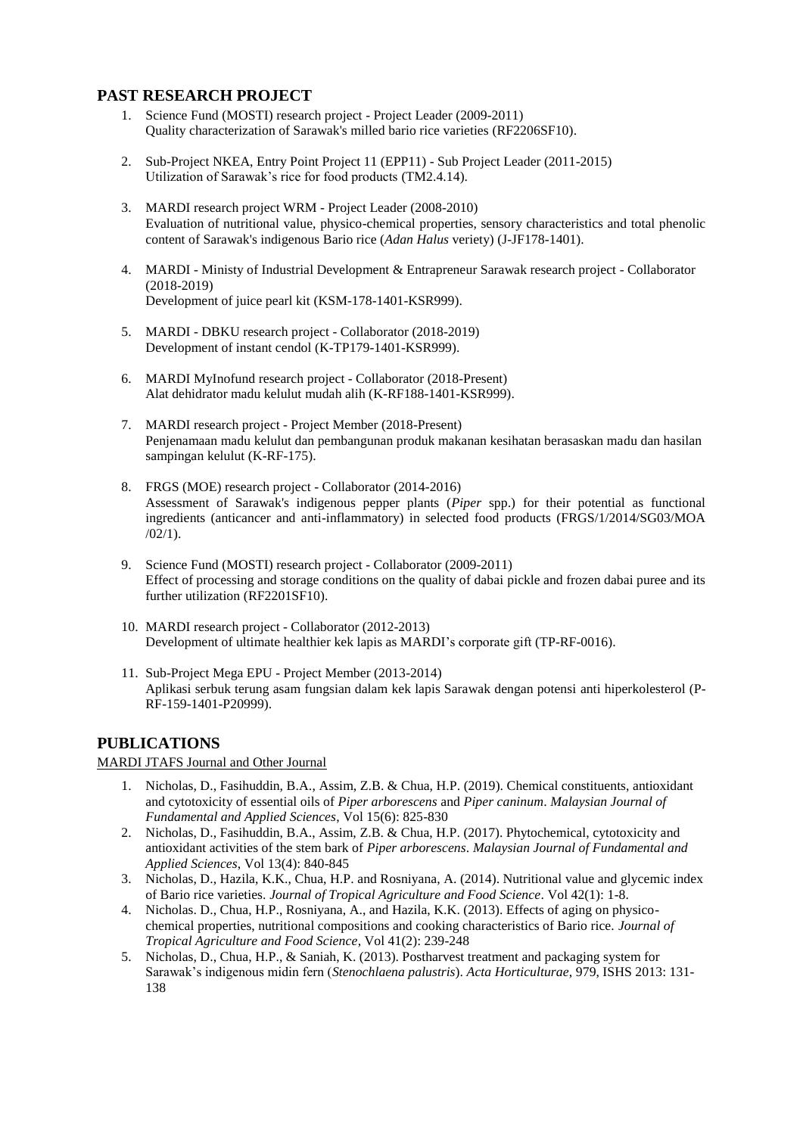## **PAST RESEARCH PROJECT**

- 1. Science Fund (MOSTI) research project Project Leader (2009-2011) Quality characterization of Sarawak's milled bario rice varieties (RF2206SF10).
- 2. Sub-Project NKEA, Entry Point Project 11 (EPP11) Sub Project Leader (2011-2015) Utilization of Sarawak's rice for food products (TM2.4.14).
- 3. MARDI research project WRM Project Leader (2008-2010) Evaluation of nutritional value, physico-chemical properties, sensory characteristics and total phenolic content of Sarawak's indigenous Bario rice (*Adan Halus* veriety) (J-JF178-1401).
- 4. MARDI Ministy of Industrial Development & Entrapreneur Sarawak research project Collaborator (2018-2019) Development of juice pearl kit (KSM-178-1401-KSR999).
- 5. MARDI DBKU research project Collaborator (2018-2019) Development of instant cendol (K-TP179-1401-KSR999).
- 6. MARDI MyInofund research project Collaborator (2018-Present) Alat dehidrator madu kelulut mudah alih (K-RF188-1401-KSR999).
- 7. MARDI research project Project Member (2018-Present) Penjenamaan madu kelulut dan pembangunan produk makanan kesihatan berasaskan madu dan hasilan sampingan kelulut (K-RF-175).
- 8. FRGS (MOE) research project Collaborator (2014-2016) Assessment of Sarawak's indigenous pepper plants (*Piper* spp.) for their potential as functional ingredients (anticancer and anti-inflammatory) in selected food products (FRGS/1/2014/SG03/MOA  $/02/1$ ).
- 9. Science Fund (MOSTI) research project Collaborator (2009-2011) Effect of processing and storage conditions on the quality of dabai pickle and frozen dabai puree and its further utilization (RF2201SF10).
- 10. MARDI research project Collaborator (2012-2013) Development of ultimate healthier kek lapis as MARDI's corporate gift (TP-RF-0016).
- 11. Sub-Project Mega EPU Project Member (2013-2014) Aplikasi serbuk terung asam fungsian dalam kek lapis Sarawak dengan potensi anti hiperkolesterol (P-RF-159-1401-P20999).

## **PUBLICATIONS**

#### MARDI JTAFS Journal and Other Journal

- 1. Nicholas, D., Fasihuddin, B.A., Assim, Z.B. & Chua, H.P. (2019). Chemical constituents, antioxidant and cytotoxicity of essential oils of *Piper arborescens* and *Piper caninum*. *Malaysian Journal of Fundamental and Applied Sciences*, Vol 15(6): 825-830
- 2. Nicholas, D., Fasihuddin, B.A., Assim, Z.B. & Chua, H.P. (2017). Phytochemical, cytotoxicity and antioxidant activities of the stem bark of *Piper arborescens*. *Malaysian Journal of Fundamental and Applied Sciences*, Vol 13(4): 840-845
- 3. Nicholas, D., Hazila, K.K., Chua, H.P. and Rosniyana, A. (2014). Nutritional value and glycemic index of Bario rice varieties. *Journal of Tropical Agriculture and Food Science*. Vol 42(1): 1-8.
- 4. Nicholas. D., Chua, H.P., Rosniyana, A., and Hazila, K.K. (2013). Effects of aging on physicochemical properties, nutritional compositions and cooking characteristics of Bario rice. *Journal of Tropical Agriculture and Food Science*, Vol 41(2): 239-248
- 5. Nicholas, D., Chua, H.P., & Saniah, K. (2013). Postharvest treatment and packaging system for Sarawak's indigenous midin fern (*Stenochlaena palustris*). *Acta Horticulturae*, 979, ISHS 2013: 131- 138